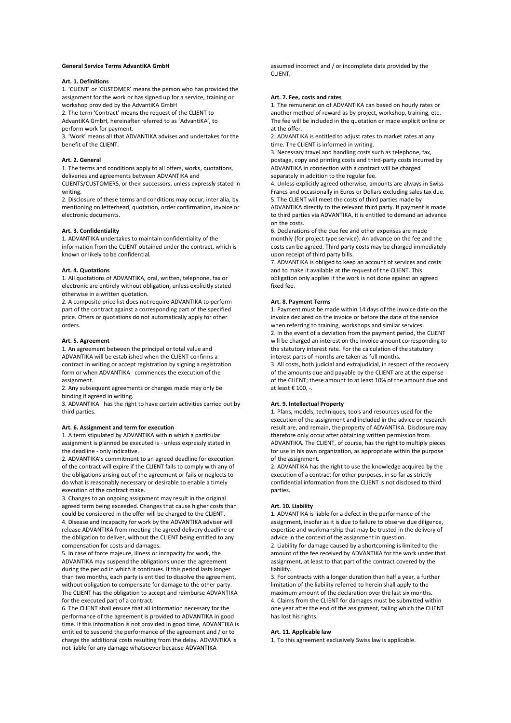#### **General Service Terms AdvantiKA GmbH**

### **Art. 1. Definitions**

1. 'CLIENT' or 'CUSTOMER' means the person who has provided the assignment for the work or has signed up for a service, training or workshop provided by the AdvantiKA GmbH

2. The term 'Contract' means the request of the CLIENT to AdvantiKA GmbH, hereinafter referred to as 'AdvantiKA', to perform work for payment.

3. 'Work' means all that ADVANTIKA advises and undertakes for the benefit of the CLIENT.

#### **Art. 2. General**

1. The terms and conditions apply to all offers, works, quotations, deliveries and agreements between ADVANTIKA and

CLIENTS/CUSTOMERS, or their successors, unless expressly stated in writing.

2. Disclosure of these terms and conditions may occur, inter alia, by mentioning on letterhead, quotation, order confirmation, invoice or electronic documents.

## **Art. 3. Confidentiality**

1. ADVANTIKA undertakes to maintain confidentiality of the information from the CLIENT obtained under the contract, which is known or likely to be confidential.

### **Art. 4. Quotations**

1. All quotations of ADVANTIKA, oral, written, telephone, fax or electronic are entirely without obligation, unless explicitly stated otherwise in a written quotation.

2. A composite price list does not require ADVANTIKA to perform part of the contract against a corresponding part of the specified price. Offers or quotations do not automatically apply for other orders.

### **Art. 5. Agreement**

1. An agreement between the principal or total value and ADVANTIKA will be established when the CLIENT confirms a contract in writing or accept registration by signing a registration form or when ADVANTIKA commences the execution of the assignment.

2. Any subsequent agreements or changes made may only be binding if agreed in writing.

3. ADVANTIKA has the right to have certain activities carried out by third parties.

# **Art. 6. Assignment and term for execution**

1. A term stipulated by ADVANTIKA within which a particular assignment is planned be executed is - unless expressly stated in the deadline - only indicative.

2. ADVANTIKA's commitment to an agreed deadline for execution of the contract will expire if the CLIENT fails to comply with any of the obligations arising out of the agreement or fails or neglects to do what is reasonably necessary or desirable to enable a timely execution of the contract make.

3. Changes to an ongoing assignment may result in the original agreed term being exceeded. Changes that cause higher costs than could be considered in the offer will be charged to the CLIENT. 4. Disease and incapacity for work by the ADVANTIKA adviser will release ADVANTIKA from meeting the agreed delivery deadline or the obligation to deliver, without the CLIENT being entitled to any compensation for costs and damages.

5. In case of force majeure, illness or incapacity for work, the ADVANTIKA may suspend the obligations under the agreement during the period in which it continues. If this period lasts longer than two months, each party is entitled to dissolve the agreement, without obligation to compensate for damage to the other party. The CLIENT has the obligation to accept and reimburse ADVANTIKA for the executed part of a contract.

6. The CLIENT shall ensure that all information necessary for the performance of the agreement is provided to ADVANTIKA in good time. If this information is not provided in good time, ADVANTIKA is entitled to suspend the performance of the agreement and / or to charge the additional costs resulting from the delay. ADVANTIKA is not liable for any damage whatsoever because ADVANTIKA

assumed incorrect and / or incomplete data provided by the CLIENT.

### **Art. 7. Fee, costs and rates**

1. The remuneration of ADVANTIKA can based on hourly rates or another method of reward as by project, workshop, training, etc. The fee will be included in the quotation or made explicit online or at the offer.

2. ADVANTIKA is entitled to adjust rates to market rates at any time. The CLIENT is informed in writing.

3. Necessary travel and handling costs such as telephone, fax, postage, copy and printing costs and third-party costs incurred by ADVANTIKA in connection with a contract will be charged separately in addition to the regular fee.

4. Unless explicitly agreed otherwise, amounts are always in Swiss Francs and occasionally in Euros or Dollars excluding sales tax due. 5. The CLIENT will meet the costs of third parties made by

ADVANTIKA directly to the relevant third party. If payment is made to third parties via ADVANTIKA, it is entitled to demand an advance on the costs.

6. Declarations of the due fee and other expenses are made monthly (for project type service). An advance on the fee and the costs can be agreed. Third party costs may be charged immediately upon receipt of third party bills.

7. ADVANTIKA is obliged to keep an account of services and costs and to make it available at the request of the CLIENT. This obligation only applies if the work is not done against an agreed fixed fee.

## **Art. 8. Payment Terms**

1. Payment must be made within 14 days of the invoice date on the invoice declared on the invoice or before the date of the service when referring to training, workshops and similar services. 2. In the event of a deviation from the payment period, the CLIENT will be charged an interest on the invoice amount corresponding to

the statutory interest rate. For the calculation of the statutory interest parts of months are taken as full months.

3. All costs, both judicial and extrajudicial, in respect of the recovery of the amounts due and payable by the CLIENT are at the expense of the CLIENT; these amount to at least 10% of the amount due and at least € 100, -.

#### **Art. 9. Intellectual Property**

1. Plans, models, techniques, tools and resources used for the execution of the assignment and included in the advice or research result are, and remain, the property of ADVANTIKA. Disclosure may therefore only occur after obtaining written permission from ADVANTIKA. The CLIENT, of course, has the right to multiply pieces for use in his own organization, as appropriate within the purpose of the assignment.

2. ADVANTIKA has the right to use the knowledge acquired by the execution of a contract for other purposes, in so far as strictly confidential information from the CLIENT is not disclosed to third parties.

### **Art. 10. Liability**

1. ADVANTIKA is liable for a defect in the performance of the assignment, insofar as it is due to failure to observe due diligence, expertise and workmanship that may be trusted in the delivery of advice in the context of the assignment in question.

2. Liability for damage caused by a shortcoming is limited to the amount of the fee received by ADVANTIKA for the work under that assignment, at least to that part of the contract covered by the liability.

3. For contracts with a longer duration than half a year, a further limitation of the liability referred to herein shall apply to the maximum amount of the declaration over the last six months. 4. Claims from the CLIENT for damages must be submitted within one year after the end of the assignment, failing which the CLIENT has lost his rights.

### **Art. 11. Applicable law**

1. To this agreement exclusively Swiss law is applicable.